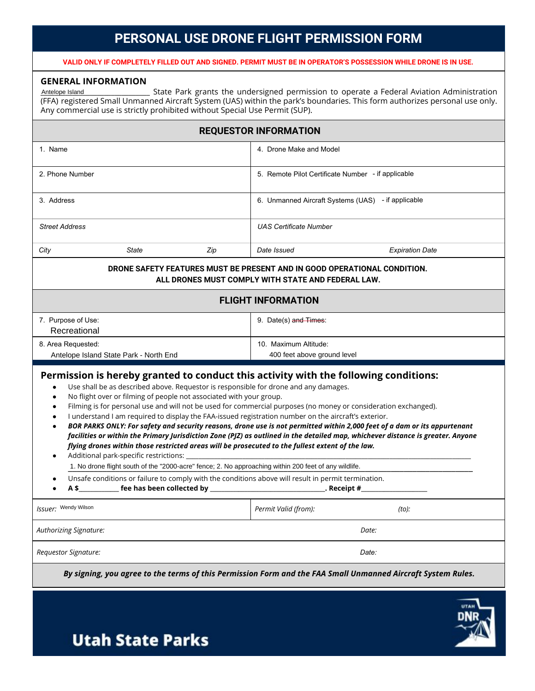## **PERSONAL USE DRONE FLIGHT PERMISSION FORM**

**VALID ONLY IF COMPLETELY FILLED OUT AND SIGNED. PERMIT MUST BE IN OPERATOR'S POSSESSION WHILE DRONE IS IN USE.**

## **GENERAL INFORMATION**

\_\_\_\_\_\_\_\_\_\_\_\_\_\_\_\_\_\_\_\_\_\_\_\_\_\_\_\_\_\_\_ State Park grants the undersigned permission to operate a Federal Aviation Administration (FFA) registered Small Unmanned Aircraft System (UAS) within the park's boundaries. This form authorizes personal use only. Any commercial use is strictly prohibited without Special Use Permit (SUP). Antelope Island

| <b>REQUESTOR INFORMATION</b>                                                                                                                                                                                                                                                                                                                                                                                                                                                                                                                                                                                                                                                                                                                                                                                                                                                                                                                                                                                                                                                                                                                                          |                                                    |
|-----------------------------------------------------------------------------------------------------------------------------------------------------------------------------------------------------------------------------------------------------------------------------------------------------------------------------------------------------------------------------------------------------------------------------------------------------------------------------------------------------------------------------------------------------------------------------------------------------------------------------------------------------------------------------------------------------------------------------------------------------------------------------------------------------------------------------------------------------------------------------------------------------------------------------------------------------------------------------------------------------------------------------------------------------------------------------------------------------------------------------------------------------------------------|----------------------------------------------------|
| 1. Name                                                                                                                                                                                                                                                                                                                                                                                                                                                                                                                                                                                                                                                                                                                                                                                                                                                                                                                                                                                                                                                                                                                                                               | 4. Drone Make and Model                            |
| 2. Phone Number                                                                                                                                                                                                                                                                                                                                                                                                                                                                                                                                                                                                                                                                                                                                                                                                                                                                                                                                                                                                                                                                                                                                                       | 5. Remote Pilot Certificate Number - if applicable |
| 3. Address                                                                                                                                                                                                                                                                                                                                                                                                                                                                                                                                                                                                                                                                                                                                                                                                                                                                                                                                                                                                                                                                                                                                                            | 6. Unmanned Aircraft Systems (UAS) - if applicable |
| <b>Street Address</b>                                                                                                                                                                                                                                                                                                                                                                                                                                                                                                                                                                                                                                                                                                                                                                                                                                                                                                                                                                                                                                                                                                                                                 | <b>UAS Certificate Number</b>                      |
| <b>State</b><br>Zip<br>City                                                                                                                                                                                                                                                                                                                                                                                                                                                                                                                                                                                                                                                                                                                                                                                                                                                                                                                                                                                                                                                                                                                                           | Date Issued<br><b>Expiration Date</b>              |
| DRONE SAFETY FEATURES MUST BE PRESENT AND IN GOOD OPERATIONAL CONDITION.<br>ALL DRONES MUST COMPLY WITH STATE AND FEDERAL LAW.                                                                                                                                                                                                                                                                                                                                                                                                                                                                                                                                                                                                                                                                                                                                                                                                                                                                                                                                                                                                                                        |                                                    |
| <b>FLIGHT INFORMATION</b>                                                                                                                                                                                                                                                                                                                                                                                                                                                                                                                                                                                                                                                                                                                                                                                                                                                                                                                                                                                                                                                                                                                                             |                                                    |
| 7. Purpose of Use:<br>Recreational                                                                                                                                                                                                                                                                                                                                                                                                                                                                                                                                                                                                                                                                                                                                                                                                                                                                                                                                                                                                                                                                                                                                    | 9. Date(s) and Times:                              |
| 8. Area Requested:                                                                                                                                                                                                                                                                                                                                                                                                                                                                                                                                                                                                                                                                                                                                                                                                                                                                                                                                                                                                                                                                                                                                                    | 10. Maximum Altitude:                              |
| Antelope Island State Park - North End                                                                                                                                                                                                                                                                                                                                                                                                                                                                                                                                                                                                                                                                                                                                                                                                                                                                                                                                                                                                                                                                                                                                | 400 feet above ground level                        |
| Permission is hereby granted to conduct this activity with the following conditions:<br>Use shall be as described above. Requestor is responsible for drone and any damages.<br>$\bullet$<br>No flight over or filming of people not associated with your group.<br>٠<br>Filming is for personal use and will not be used for commercial purposes (no money or consideration exchanged).<br>$\bullet$<br>I understand I am required to display the FAA-issued registration number on the aircraft's exterior.<br>$\bullet$<br>BOR PARKS ONLY: For safety and security reasons, drone use is not permitted within 2,000 feet of a dam or its appurtenant<br>$\bullet$<br>facilities or within the Primary Jurisdiction Zone (PJZ) as outlined in the detailed map, whichever distance is greater. Anyone<br>flying drones within those restricted areas will be prosecuted to the fullest extent of the law.<br>Additional park-specific restrictions:<br>1. No drone flight south of the "2000-acre" fence; 2. No approaching within 200 feet of any wildlife.<br>Unsafe conditions or failure to comply with the conditions above will result in permit termination. |                                                    |
| Issuer: Wendy Wilson                                                                                                                                                                                                                                                                                                                                                                                                                                                                                                                                                                                                                                                                                                                                                                                                                                                                                                                                                                                                                                                                                                                                                  | Permit Valid (from):<br>(to):                      |
| Authorizing Signature:                                                                                                                                                                                                                                                                                                                                                                                                                                                                                                                                                                                                                                                                                                                                                                                                                                                                                                                                                                                                                                                                                                                                                | Date:                                              |
| Requestor Signature:                                                                                                                                                                                                                                                                                                                                                                                                                                                                                                                                                                                                                                                                                                                                                                                                                                                                                                                                                                                                                                                                                                                                                  | Date:                                              |
| By signing, you agree to the terms of this Permission Form and the FAA Small Unmanned Aircraft System Rules.                                                                                                                                                                                                                                                                                                                                                                                                                                                                                                                                                                                                                                                                                                                                                                                                                                                                                                                                                                                                                                                          |                                                    |



**Utah State Parks**